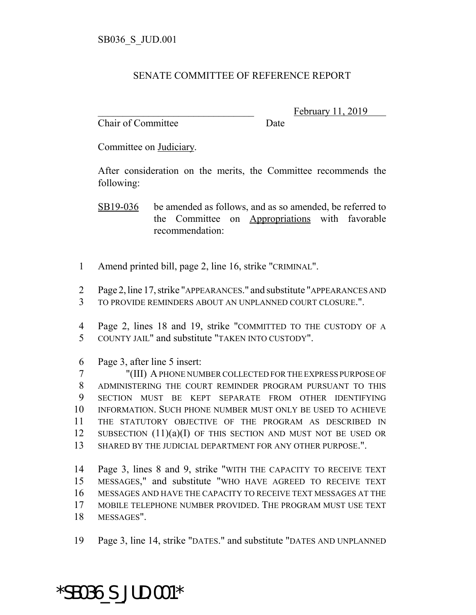## SENATE COMMITTEE OF REFERENCE REPORT

Chair of Committee Date

February 11, 2019

Committee on Judiciary.

After consideration on the merits, the Committee recommends the following:

SB19-036 be amended as follows, and as so amended, be referred to the Committee on Appropriations with favorable recommendation:

- Amend printed bill, page 2, line 16, strike "CRIMINAL".
- Page 2, line 17, strike "APPEARANCES." and substitute "APPEARANCES AND TO PROVIDE REMINDERS ABOUT AN UNPLANNED COURT CLOSURE.".
- Page 2, lines 18 and 19, strike "COMMITTED TO THE CUSTODY OF A COUNTY JAIL" and substitute "TAKEN INTO CUSTODY".
- Page 3, after line 5 insert:

 "(III) A PHONE NUMBER COLLECTED FOR THE EXPRESS PURPOSE OF ADMINISTERING THE COURT REMINDER PROGRAM PURSUANT TO THIS SECTION MUST BE KEPT SEPARATE FROM OTHER IDENTIFYING INFORMATION. SUCH PHONE NUMBER MUST ONLY BE USED TO ACHIEVE THE STATUTORY OBJECTIVE OF THE PROGRAM AS DESCRIBED IN SUBSECTION (11)(a)(I) OF THIS SECTION AND MUST NOT BE USED OR SHARED BY THE JUDICIAL DEPARTMENT FOR ANY OTHER PURPOSE.".

 Page 3, lines 8 and 9, strike "WITH THE CAPACITY TO RECEIVE TEXT MESSAGES," and substitute "WHO HAVE AGREED TO RECEIVE TEXT MESSAGES AND HAVE THE CAPACITY TO RECEIVE TEXT MESSAGES AT THE MOBILE TELEPHONE NUMBER PROVIDED. THE PROGRAM MUST USE TEXT MESSAGES".

Page 3, line 14, strike "DATES." and substitute "DATES AND UNPLANNED

## \*SB036\_S\_JUD.001\*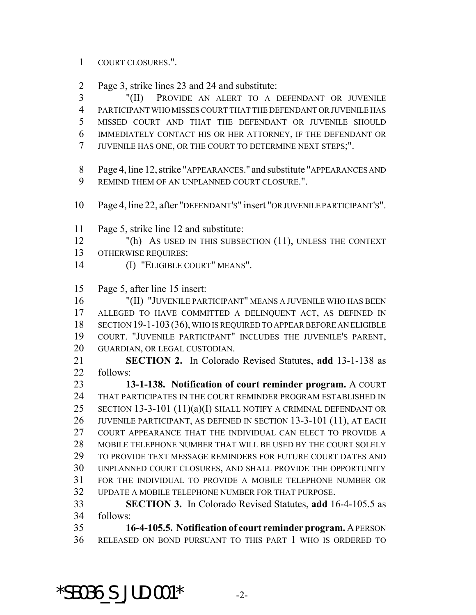## COURT CLOSURES.".

Page 3, strike lines 23 and 24 and substitute:

 "(II) PROVIDE AN ALERT TO A DEFENDANT OR JUVENILE PARTICIPANT WHO MISSES COURT THAT THE DEFENDANT OR JUVENILE HAS MISSED COURT AND THAT THE DEFENDANT OR JUVENILE SHOULD IMMEDIATELY CONTACT HIS OR HER ATTORNEY, IF THE DEFENDANT OR JUVENILE HAS ONE, OR THE COURT TO DETERMINE NEXT STEPS;".

 Page 4, line 12, strike "APPEARANCES." and substitute "APPEARANCES AND REMIND THEM OF AN UNPLANNED COURT CLOSURE.".

- Page 4, line 22, after "DEFENDANT'S" insert "OR JUVENILE PARTICIPANT'S".
- Page 5, strike line 12 and substitute:
- "(h) AS USED IN THIS SUBSECTION (11), UNLESS THE CONTEXT OTHERWISE REQUIRES:
- (I) "ELIGIBLE COURT" MEANS".

Page 5, after line 15 insert:

 "(II) "JUVENILE PARTICIPANT" MEANS A JUVENILE WHO HAS BEEN ALLEGED TO HAVE COMMITTED A DELINQUENT ACT, AS DEFINED IN 18 SECTION 19-1-103 (36), WHO IS REQUIRED TO APPEAR BEFORE AN ELIGIBLE COURT. "JUVENILE PARTICIPANT" INCLUDES THE JUVENILE'S PARENT, GUARDIAN, OR LEGAL CUSTODIAN.

 **SECTION 2.** In Colorado Revised Statutes, **add** 13-1-138 as follows:

 **13-1-138. Notification of court reminder program.** A COURT THAT PARTICIPATES IN THE COURT REMINDER PROGRAM ESTABLISHED IN SECTION 13-3-101 (11)(a)(I) SHALL NOTIFY A CRIMINAL DEFENDANT OR JUVENILE PARTICIPANT, AS DEFINED IN SECTION 13-3-101 (11), AT EACH COURT APPEARANCE THAT THE INDIVIDUAL CAN ELECT TO PROVIDE A MOBILE TELEPHONE NUMBER THAT WILL BE USED BY THE COURT SOLELY TO PROVIDE TEXT MESSAGE REMINDERS FOR FUTURE COURT DATES AND UNPLANNED COURT CLOSURES, AND SHALL PROVIDE THE OPPORTUNITY FOR THE INDIVIDUAL TO PROVIDE A MOBILE TELEPHONE NUMBER OR UPDATE A MOBILE TELEPHONE NUMBER FOR THAT PURPOSE.

 **SECTION 3.** In Colorado Revised Statutes, **add** 16-4-105.5 as follows:

 **16-4-105.5. Notification of court reminder program.** A PERSON RELEASED ON BOND PURSUANT TO THIS PART 1 WHO IS ORDERED TO

 $*$ SB036 S JUD.001 $*$  -2-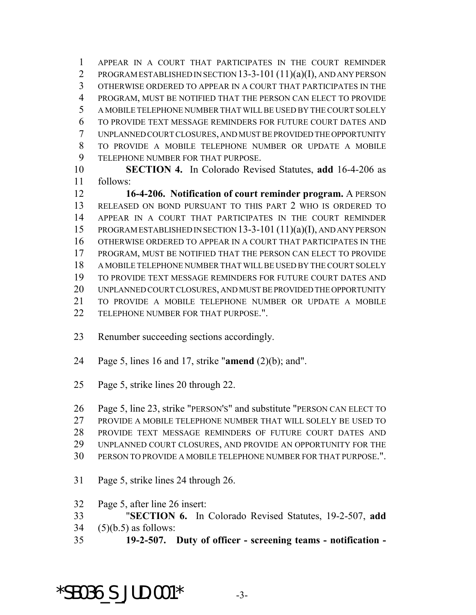APPEAR IN A COURT THAT PARTICIPATES IN THE COURT REMINDER PROGRAM ESTABLISHED IN SECTION 13-3-101 (11)(a)(I), AND ANY PERSON OTHERWISE ORDERED TO APPEAR IN A COURT THAT PARTICIPATES IN THE PROGRAM, MUST BE NOTIFIED THAT THE PERSON CAN ELECT TO PROVIDE A MOBILE TELEPHONE NUMBER THAT WILL BE USED BY THE COURT SOLELY TO PROVIDE TEXT MESSAGE REMINDERS FOR FUTURE COURT DATES AND UNPLANNED COURT CLOSURES, AND MUST BE PROVIDED THE OPPORTUNITY TO PROVIDE A MOBILE TELEPHONE NUMBER OR UPDATE A MOBILE TELEPHONE NUMBER FOR THAT PURPOSE.

 **SECTION 4.** In Colorado Revised Statutes, **add** 16-4-206 as follows:

 **16-4-206. Notification of court reminder program.** A PERSON RELEASED ON BOND PURSUANT TO THIS PART 2 WHO IS ORDERED TO APPEAR IN A COURT THAT PARTICIPATES IN THE COURT REMINDER PROGRAM ESTABLISHED IN SECTION 13-3-101 (11)(a)(I), AND ANY PERSON OTHERWISE ORDERED TO APPEAR IN A COURT THAT PARTICIPATES IN THE PROGRAM, MUST BE NOTIFIED THAT THE PERSON CAN ELECT TO PROVIDE A MOBILE TELEPHONE NUMBER THAT WILL BE USED BY THE COURT SOLELY TO PROVIDE TEXT MESSAGE REMINDERS FOR FUTURE COURT DATES AND UNPLANNED COURT CLOSURES, AND MUST BE PROVIDED THE OPPORTUNITY TO PROVIDE A MOBILE TELEPHONE NUMBER OR UPDATE A MOBILE TELEPHONE NUMBER FOR THAT PURPOSE.".

- Renumber succeeding sections accordingly.
- Page 5, lines 16 and 17, strike "**amend** (2)(b); and".
- Page 5, strike lines 20 through 22.

 Page 5, line 23, strike "PERSON'S" and substitute "PERSON CAN ELECT TO PROVIDE A MOBILE TELEPHONE NUMBER THAT WILL SOLELY BE USED TO PROVIDE TEXT MESSAGE REMINDERS OF FUTURE COURT DATES AND UNPLANNED COURT CLOSURES, AND PROVIDE AN OPPORTUNITY FOR THE PERSON TO PROVIDE A MOBILE TELEPHONE NUMBER FOR THAT PURPOSE.".

Page 5, strike lines 24 through 26.

Page 5, after line 26 insert:

- "**SECTION 6.** In Colorado Revised Statutes, 19-2-507, **add**
- (5)(b.5) as follows:
- **19-2-507. Duty of officer screening teams notification -**

 $*$ SB036 S JUD.001 $*$  -3-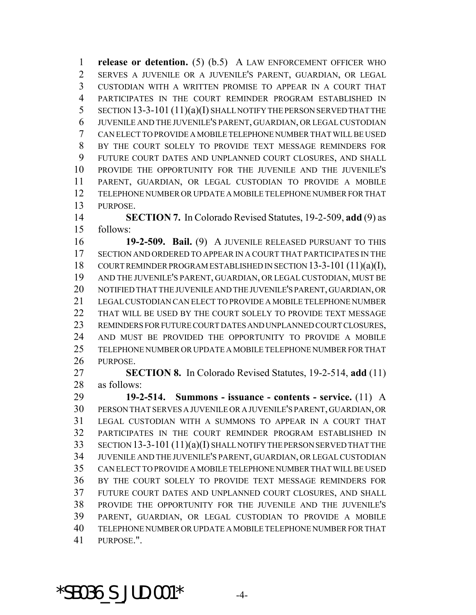**release or detention.** (5) (b.5) A LAW ENFORCEMENT OFFICER WHO SERVES A JUVENILE OR A JUVENILE'S PARENT, GUARDIAN, OR LEGAL CUSTODIAN WITH A WRITTEN PROMISE TO APPEAR IN A COURT THAT PARTICIPATES IN THE COURT REMINDER PROGRAM ESTABLISHED IN SECTION 13-3-101 (11)(a)(I) SHALL NOTIFY THE PERSON SERVED THAT THE JUVENILE AND THE JUVENILE'S PARENT, GUARDIAN, OR LEGAL CUSTODIAN CAN ELECT TO PROVIDE A MOBILE TELEPHONE NUMBER THAT WILL BE USED BY THE COURT SOLELY TO PROVIDE TEXT MESSAGE REMINDERS FOR FUTURE COURT DATES AND UNPLANNED COURT CLOSURES, AND SHALL PROVIDE THE OPPORTUNITY FOR THE JUVENILE AND THE JUVENILE'S PARENT, GUARDIAN, OR LEGAL CUSTODIAN TO PROVIDE A MOBILE TELEPHONE NUMBER OR UPDATE A MOBILE TELEPHONE NUMBER FOR THAT PURPOSE.

 **SECTION 7.** In Colorado Revised Statutes, 19-2-509, **add** (9) as follows:

 **19-2-509. Bail.** (9) A JUVENILE RELEASED PURSUANT TO THIS SECTION AND ORDERED TO APPEAR IN A COURT THAT PARTICIPATES IN THE COURT REMINDER PROGRAM ESTABLISHED IN SECTION 13-3-101 (11)(a)(I), AND THE JUVENILE'S PARENT, GUARDIAN, OR LEGAL CUSTODIAN, MUST BE NOTIFIED THAT THE JUVENILE AND THE JUVENILE'S PARENT, GUARDIAN, OR LEGAL CUSTODIAN CAN ELECT TO PROVIDE A MOBILE TELEPHONE NUMBER THAT WILL BE USED BY THE COURT SOLELY TO PROVIDE TEXT MESSAGE REMINDERS FOR FUTURE COURT DATES AND UNPLANNED COURT CLOSURES, AND MUST BE PROVIDED THE OPPORTUNITY TO PROVIDE A MOBILE TELEPHONE NUMBER OR UPDATE A MOBILE TELEPHONE NUMBER FOR THAT PURPOSE.

 **SECTION 8.** In Colorado Revised Statutes, 19-2-514, **add** (11) as follows:

 **19-2-514. Summons - issuance - contents - service.** (11) A PERSON THAT SERVES A JUVENILE OR A JUVENILE'S PARENT, GUARDIAN, OR LEGAL CUSTODIAN WITH A SUMMONS TO APPEAR IN A COURT THAT PARTICIPATES IN THE COURT REMINDER PROGRAM ESTABLISHED IN SECTION 13-3-101 (11)(a)(I) SHALL NOTIFY THE PERSON SERVED THAT THE JUVENILE AND THE JUVENILE'S PARENT, GUARDIAN, OR LEGAL CUSTODIAN CAN ELECT TO PROVIDE A MOBILE TELEPHONE NUMBER THAT WILL BE USED BY THE COURT SOLELY TO PROVIDE TEXT MESSAGE REMINDERS FOR FUTURE COURT DATES AND UNPLANNED COURT CLOSURES, AND SHALL PROVIDE THE OPPORTUNITY FOR THE JUVENILE AND THE JUVENILE'S PARENT, GUARDIAN, OR LEGAL CUSTODIAN TO PROVIDE A MOBILE TELEPHONE NUMBER OR UPDATE A MOBILE TELEPHONE NUMBER FOR THAT PURPOSE.".

 $*$ SB036 S JUD.001 $*$  -4-